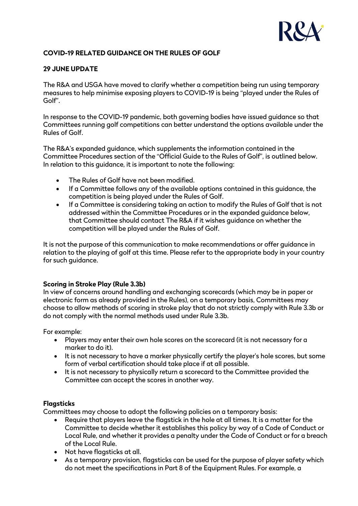

# **COVID-19 RELATED GUIDANCE ON THE RULES OF GOLF**

# **29 JUNE UPDATE**

The R&A and USGA have moved to clarify whether a competition being run using temporary measures to help minimise exposing players to COVID-19 is being "played under the Rules of Golf".

In response to the COVID-19 pandemic, both governing bodies have issued guidance so that Committees running golf competitions can better understand the options available under the Rules of Golf.

The R&A's expanded guidance, which supplements the information contained in the Committee Procedures section of the "Official Guide to the Rules of Golf", is outlined below. In relation to this guidance, it is important to note the following:

- The Rules of Golf have not been modified.
- If a Committee follows any of the available options contained in this guidance, the competition is being played under the Rules of Golf.
- If a Committee is considering taking an action to modify the Rules of Golf that is not addressed within the Committee Procedures or in the expanded guidance below, that Committee should contact The R&A if it wishes guidance on whether the competition will be played under the Rules of Golf.

It is not the purpose of this communication to make recommendations or offer guidance in relation to the playing of golf at this time. Please refer to the appropriate body in your country for such guidance.

#### **Scoring in Stroke Play (Rule 3.3b)**

In view of concerns around handling and exchanging scorecards (which may be in paper or electronic form as already provided in the Rules), on a temporary basis, Committees may choose to allow methods of scoring in stroke play that do not strictly comply with Rule 3.3b or do not comply with the normal methods used under Rule 3.3b.

For example:

- Players may enter their own hole scores on the scorecard (it is not necessary for a marker to do it).
- It is not necessary to have a marker physically certify the player's hole scores, but some form of verbal certification should take place if at all possible.
- It is not necessary to physically return a scorecard to the Committee provided the Committee can accept the scores in another way.

#### **Flagsticks**

Committees may choose to adopt the following policies on a temporary basis:

- Require that players leave the flagstick in the hole at all times. It is a matter for the Committee to decide whether it establishes this policy by way of a Code of Conduct or Local Rule, and whether it provides a penalty under the Code of Conduct or for a breach of the Local Rule.
- Not have flagsticks at all.
- As a temporary provision, flagsticks can be used for the purpose of player safety which do not meet the specifications in Part 8 of the Equipment Rules. For example, a